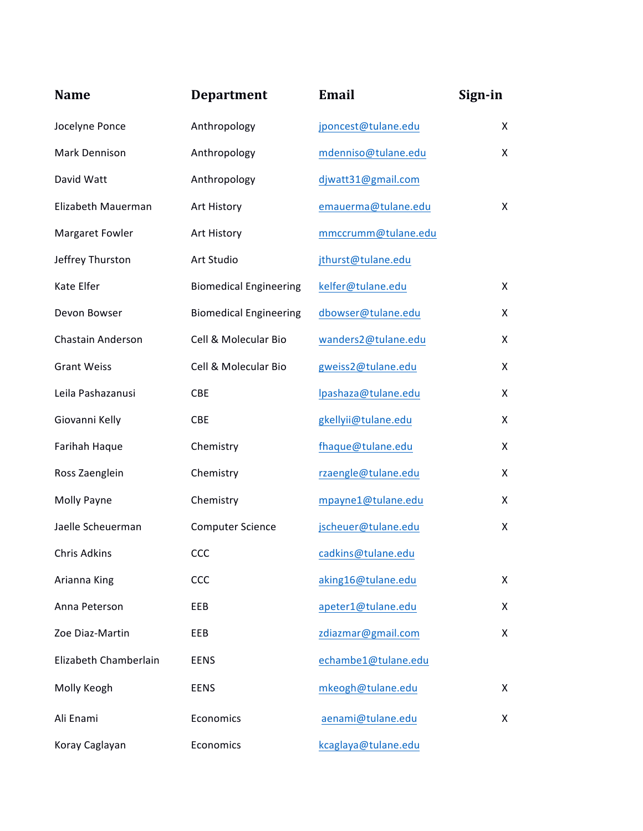| <b>Name</b>           | <b>Department</b>             | <b>Email</b>        | Sign-in |
|-----------------------|-------------------------------|---------------------|---------|
| Jocelyne Ponce        | Anthropology                  | jponcest@tulane.edu | X       |
| Mark Dennison         | Anthropology                  | mdenniso@tulane.edu | X       |
| David Watt            | Anthropology                  | djwatt31@gmail.com  |         |
| Elizabeth Mauerman    | Art History                   | emauerma@tulane.edu | X       |
| Margaret Fowler       | Art History                   | mmccrumm@tulane.edu |         |
| Jeffrey Thurston      | Art Studio                    | jthurst@tulane.edu  |         |
| Kate Elfer            | <b>Biomedical Engineering</b> | kelfer@tulane.edu   | X       |
| Devon Bowser          | <b>Biomedical Engineering</b> | dbowser@tulane.edu  | X       |
| Chastain Anderson     | Cell & Molecular Bio          | wanders2@tulane.edu | X       |
| <b>Grant Weiss</b>    | Cell & Molecular Bio          | gweiss2@tulane.edu  | X       |
| Leila Pashazanusi     | <b>CBE</b>                    | lpashaza@tulane.edu | X       |
| Giovanni Kelly        | CBE                           | gkellyii@tulane.edu | X       |
| Farihah Haque         | Chemistry                     | fhaque@tulane.edu   | X       |
| Ross Zaenglein        | Chemistry                     | rzaengle@tulane.edu | X       |
| Molly Payne           | Chemistry                     | mpayne1@tulane.edu  | X       |
| Jaelle Scheuerman     | <b>Computer Science</b>       | jscheuer@tulane.edu | X       |
| Chris Adkins          | <b>CCC</b>                    | cadkins@tulane.edu  |         |
| Arianna King          | CCC                           | aking16@tulane.edu  | X       |
| Anna Peterson         | EEB                           | apeter1@tulane.edu  | X       |
| Zoe Diaz-Martin       | EEB                           | zdiazmar@gmail.com  | X       |
| Elizabeth Chamberlain | <b>EENS</b>                   | echambe1@tulane.edu |         |
| Molly Keogh           | <b>EENS</b>                   | mkeogh@tulane.edu   | X       |
| Ali Enami             | Economics                     | aenami@tulane.edu   | X       |
| Koray Caglayan        | Economics                     | kcaglaya@tulane.edu |         |